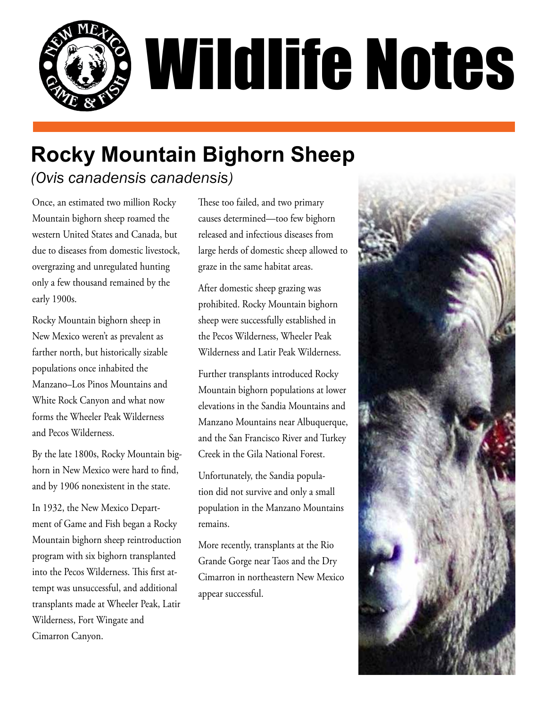

# **Rocky Mountain Bighorn Sheep** *(Ovis canadensis canadensis)*

Once, an estimated two million Rocky Mountain bighorn sheep roamed the western United States and Canada, but due to diseases from domestic livestock, overgrazing and unregulated hunting only a few thousand remained by the early 1900s.

Rocky Mountain bighorn sheep in New Mexico weren't as prevalent as farther north, but historically sizable populations once inhabited the Manzano–Los Pinos Mountains and White Rock Canyon and what now forms the Wheeler Peak Wilderness and Pecos Wilderness.

By the late 1800s, Rocky Mountain bighorn in New Mexico were hard to find, and by 1906 nonexistent in the state.

In 1932, the New Mexico Department of Game and Fish began a Rocky Mountain bighorn sheep reintroduction program with six bighorn transplanted into the Pecos Wilderness. This first attempt was unsuccessful, and additional transplants made at Wheeler Peak, Latir Wilderness, Fort Wingate and Cimarron Canyon.

These too failed, and two primary causes determined—too few bighorn released and infectious diseases from large herds of domestic sheep allowed to graze in the same habitat areas.

After domestic sheep grazing was prohibited. Rocky Mountain bighorn sheep were successfully established in the Pecos Wilderness, Wheeler Peak Wilderness and Latir Peak Wilderness.

Further transplants introduced Rocky Mountain bighorn populations at lower elevations in the Sandia Mountains and Manzano Mountains near Albuquerque, and the San Francisco River and Turkey Creek in the Gila National Forest.

Unfortunately, the Sandia population did not survive and only a small population in the Manzano Mountains remains.

More recently, transplants at the Rio Grande Gorge near Taos and the Dry Cimarron in northeastern New Mexico appear successful.